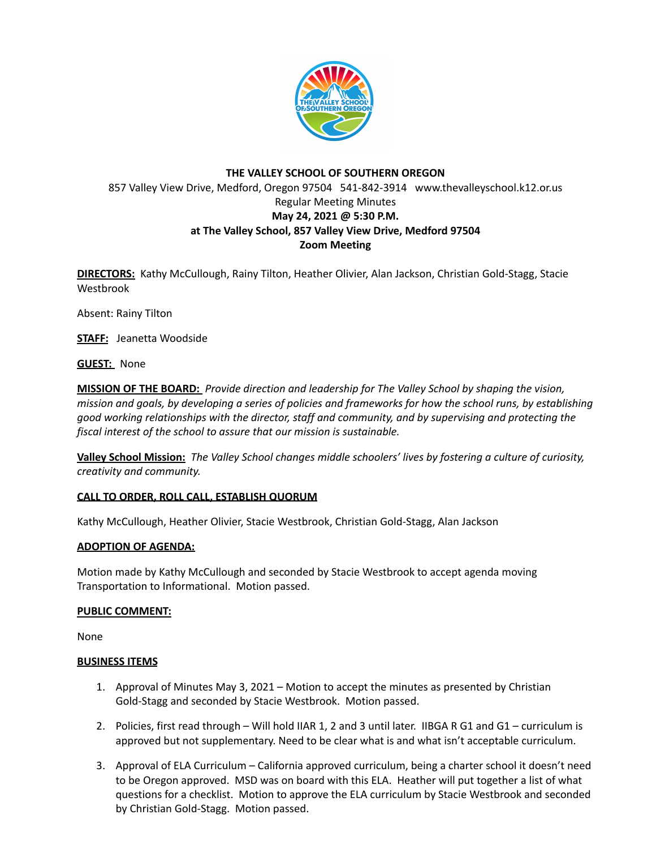

# **THE VALLEY SCHOOL OF SOUTHERN OREGON** 857 Valley View Drive, Medford, Oregon 97504 541-842-3914 www.thevalleyschool.k12.or.us Regular Meeting Minutes **May 24, 2021 @ 5:30 P.M. at The Valley School, 857 Valley View Drive, Medford 97504 Zoom Meeting**

**DIRECTORS:** Kathy McCullough, Rainy Tilton, Heather Olivier, Alan Jackson, Christian Gold-Stagg, Stacie Westbrook

Absent: Rainy Tilton

**STAFF:** Jeanetta Woodside

**GUEST:** None

**MISSION OF THE BOARD:** *Provide direction and leadership for The Valley School by shaping the vision,* mission and goals, by developing a series of policies and frameworks for how the school runs, by establishing *good working relationships with the director, staff and community, and by supervising and protecting the fiscal interest of the school to assure that our mission is sustainable.*

**Valley School Mission:** *The Valley School changes middle schoolers' lives by fostering a culture of curiosity, creativity and community.*

## **CALL TO ORDER, ROLL CALL, ESTABLISH QUORUM**

Kathy McCullough, Heather Olivier, Stacie Westbrook, Christian Gold-Stagg, Alan Jackson

#### **ADOPTION OF AGENDA:**

Motion made by Kathy McCullough and seconded by Stacie Westbrook to accept agenda moving Transportation to Informational. Motion passed.

#### **PUBLIC COMMENT:**

None

#### **BUSINESS ITEMS**

- 1. Approval of Minutes May 3, 2021 Motion to accept the minutes as presented by Christian Gold-Stagg and seconded by Stacie Westbrook. Motion passed.
- 2. Policies, first read through Will hold IIAR 1, 2 and 3 until later. IIBGA R G1 and G1 curriculum is approved but not supplementary. Need to be clear what is and what isn't acceptable curriculum.
- 3. Approval of ELA Curriculum California approved curriculum, being a charter school it doesn't need to be Oregon approved. MSD was on board with this ELA. Heather will put together a list of what questions for a checklist. Motion to approve the ELA curriculum by Stacie Westbrook and seconded by Christian Gold-Stagg. Motion passed.